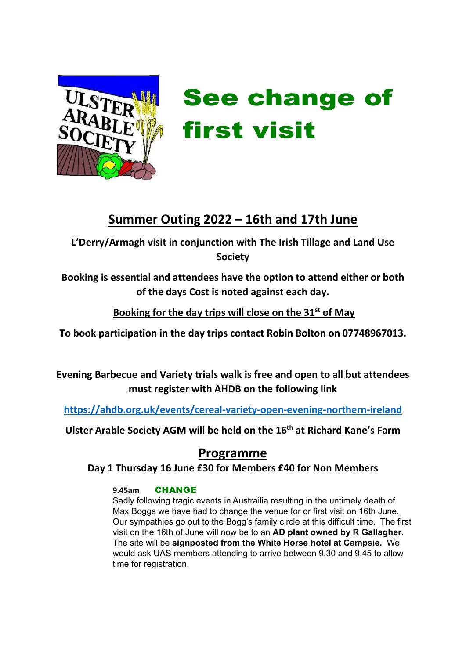

# See change of first visit

# Summer Outing 2022 – 16th and 17th June

L'Derry/Armagh visit in conjunction with The Irish Tillage and Land Use Society

Booking is essential and attendees have the option to attend either or both of the days Cost is noted against each day.

Booking for the day trips will close on the  $31<sup>st</sup>$  of May

To book participation in the day trips contact Robin Bolton on 07748967013.

Evening Barbecue and Variety trials walk is free and open to all but attendees must register with AHDB on the following link

https://ahdb.org.uk/events/cereal-variety-open-evening-northern-ireland

Ulster Arable Society AGM will be held on the 16<sup>th</sup> at Richard Kane's Farm

# Programme

Day 1 Thursday 16 June £30 for Members £40 for Non Members

## 9.45am CHANGE

Sadly following tragic events in Austrailia resulting in the untimely death of Max Boggs we have had to change the venue for or first visit on 16th June. Our sympathies go out to the Bogg's family circle at this difficult time. The first visit on the 16th of June will now be to an AD plant owned by R Gallagher. The site will be signposted from the White Horse hotel at Campsie. We would ask UAS members attending to arrive between 9.30 and 9.45 to allow time for registration.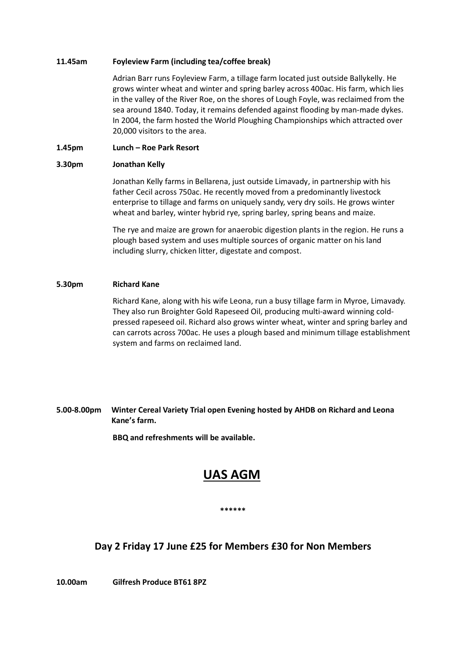#### 11.45am Foyleview Farm (including tea/coffee break)

Adrian Barr runs Foyleview Farm, a tillage farm located just outside Ballykelly. He grows winter wheat and winter and spring barley across 400ac. His farm, which lies in the valley of the River Roe, on the shores of Lough Foyle, was reclaimed from the sea around 1840. Today, it remains defended against flooding by man-made dykes. In 2004, the farm hosted the World Ploughing Championships which attracted over 20,000 visitors to the area.

#### 1.45pm Lunch – Roe Park Resort

#### 3.30pm Jonathan Kelly

Jonathan Kelly farms in Bellarena, just outside Limavady, in partnership with his father Cecil across 750ac. He recently moved from a predominantly livestock enterprise to tillage and farms on uniquely sandy, very dry soils. He grows winter wheat and barley, winter hybrid rye, spring barley, spring beans and maize.

The rye and maize are grown for anaerobic digestion plants in the region. He runs a plough based system and uses multiple sources of organic matter on his land including slurry, chicken litter, digestate and compost.

#### 5.30pm Richard Kane

Richard Kane, along with his wife Leona, run a busy tillage farm in Myroe, Limavady. They also run Broighter Gold Rapeseed Oil, producing multi-award winning coldpressed rapeseed oil. Richard also grows winter wheat, winter and spring barley and can carrots across 700ac. He uses a plough based and minimum tillage establishment system and farms on reclaimed land.

#### 5.00-8.00pm Winter Cereal Variety Trial open Evening hosted by AHDB on Richard and Leona Kane's farm.

BBQ and refreshments will be available.

## UAS AGM

## \*\*\*\*\*\*

## Day 2 Friday 17 June £25 for Members £30 for Non Members

10.00am Gilfresh Produce BT61 8PZ